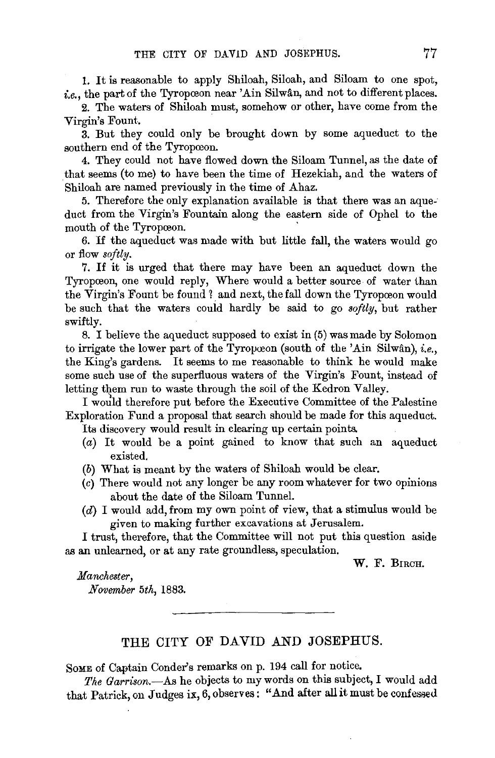1. It is reasonable to apply Shiloah, Siloah, and Siloam to one spot, *i.e.*, the part of the Tyropœon near 'Ain Silwân, and not to different places.

2. The waters of Shiloah must, somehow or other, have come from the Virgin's Fount.

3. But they could only be brought down by some aqueduct to the southern end of the Tyropoeon.

4. They could not have flowed down the Siloam Tunnel, as the date of that seems (to me) to have been the time of Hezekiah, and the waters of . Shiloah are named previously in the time of Ahaz.

5. Therefore the only explanation available is that there was an aqueduct from the Virgin's Fountain along the eastern side of Ophel to the mouth of the Tyropœon.

6. If the aqueduct was made with but little fall, the waters would go or flow *softly.* 

7. If it is urged that there may have been an aqueduct down the Tyropœon, one would reply, Where would a better source of water than the Virgin's Fount be found ? and next, the fall down the Tyropoeon would be such that the waters could hardly be said to go *softly,* but rather swiftly.

8, I believe the aqueduct supposed to exist in (5) was made by Solomon to irrigate the lower part of the Tyropoeon (south of the 'Ain Silwân), *i.e.*, the King's gardens. It seems to me reasonable to think he would make some such use of the superfluous waters of the Virgin's Fount, instead of letting them run to waste through the soil of the Kedron Valley.

I worild therefore put before the Executive Committee of the Palestine Exploration Fund a proposal that search should be made for this aqueduct.

Its discovery would result in clearing up certain points.

- (a) It would be a point gained to know that such an aqueduct existed.
- (b) What is meant by the waters of Shiloah would be clear.
- (c) There would not any longer be any room whatever for two opinions about the date of the Siloam Tunnel.
- $(d)$  I would add, from my own point of view, that a stimulus would be given to making further excavations at Jerusalem.

I trust, therefore, that the Committee will not put this question aside as an unlearned, or at any rate groundless, speculation.

W. F. BIRCH.

## *.Manchester,*

*November 5th,* 1883.

## THE CITY OF DAVID AND JOSEPHUS.

SoME of Captain Couder's remarks on p. 194 call for notice.

*The Garrison.-As* he objects to my words on this subject, I would add that Patrick, on Judges ix, 6, observes: "And after all it must be confessed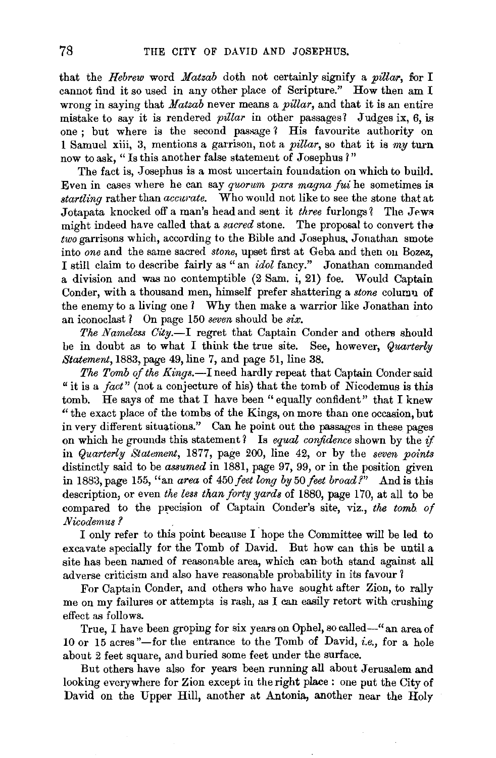that the *Hebrew* word *Matzab* doth not certainly signify a *pillar*, for I cannot find it so used in any other place of Scripture." How then am I wrong in saying that *Jfatzab* never means a *pillar,* and that it is an entire mistake to say it is rendered *pillar* in other passages *1* Judges ix, 6, is one ; but where is the second passage ? His favourite authority on 1 Samuel xiii, 3, mentions a garrison, not a *pillar,* so that it is *my* turn now to ask, "Is this another false statement of Josephus ?"

The fact is, Josephus is a most uncertain foundation on which to build. Even in cases where he can say *quorum pars magna fui* he sometimes iR *startling* rather than *accurate.* Who would not like to see the stone that at Jotapata knocked off a man's head and sent it *three* furlongs? The Jews might indeed have called that a *sacred* stone. The proposal to convert the *two garrisons* which, according to the Bible and Josephus, Jonathan smote into *one* and the same sacred *stone,* upset first at Geba and then on Bozez, I still claim to describe fairly as " an *idol* fancy." Jonathan commanded a division and was no contemptible (2 Sam. i, 21) foe. Would Captain Conder, with a thousand men, himself prefer shattering a *stone* column of the enemy to a living one ? Why then make a warrior like Jonathan into an iconoclast 1 On page 150 *seven* should be *six.* 

*The Nameless City.-I* regret that Captain Conder and others should be in doubt as to what I think the true site. See, however, *Quarterly Statement,* 1883, page 49, line 7, and page 51, line 38.

The Tomb of the Kings.—I need hardly repeat that Captain Conder said " it is a *fact*" (not a conjecture of his) that the tomb of Nicodemus is this tomb. He says of me that I have been "equally confident" that  $I$  knew "the exact place of the tombs of the Kings, on more than one occasion, but in very different situations." Can he point out the passages in these pages on which he grounds this statement? Is *equal confidence* shown by the if in *Quarterly Statement,* 1877, page 200, line 42, or by tbe *seven points*  distinctly said to be *assumed* in 1881, page 97, 99, or in the position given in 188:3, page 155, "an *area* of 450 *feet long by* 50 *feet broad?"* .And is this description, or even *the less than forty yards* of 1880, page 170, at all to be compared to the precision of Captain Conder's site, viz., the tomb of *Nicodemus ?* .

I only refer to this point because I hope the Committee will be led to excavate specially for the Tomb of David. But how can this be until a site has been named of reasonable area, which can both stand against all adverse criticism and also have reasonable probability in its favour 1

For Captain Conder, and others who have sought after Zion, to rally me on my failures or attempts is rash, as I can easily retort with crushing effect as follows.

True, I have been groping for six years on Ophel, so called-" an area of 10 or 15 acres "-for the entrance to the Tomb of David, *i.e.*, for a hole about 2 feet square, and buried some feet under the surface.

But others have also for years been running all about Jerusalem and looking everywhere for Zion except in the right place : one put the City of David on the Upper Hill, another at Antonia, another near the Holy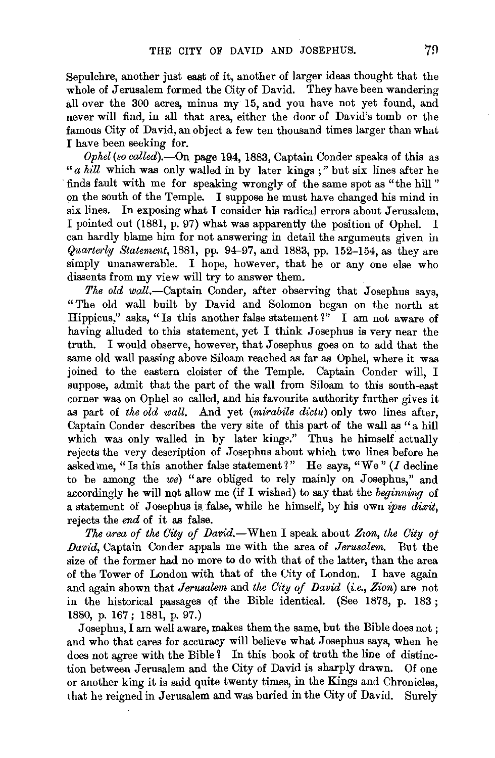Sepulchre, another just east of it, another of larger ideas thought that the whole of Jerusalem formed the City of David. They have been wandering all over the 300 acres, minus my 15, and you have not yet found, and never will find, in all that area, either the door of David's tomb or the famous City of David, an object a few ten thousand times larger than what I have been seeking for.

*Ophel (so called).-On* page 194, 1883, Captain Conder speaks of this as *"a hill* which was only walled in by later kings ; " but six lines after he · finds fault with me for speaking wrongly of the same spot as "the hill '' on the south of the Temple. I suppose he must have changed his mind in six lines. In exposing what I consider his radical errors about Jerusalem, I pointed out (1881, p. 97) what was apparentiy the position of Ophel. I can hardly blame him for not answering in detail the arguments given in *Quarte1'ly Statement,* 1881, pp. 94-97, and 1883, pp. 152-154, as they are simply unanswerable. I hope, however, that he or any one else who dissents from my view will try to answer them.

*The old wall*.-Captain Conder, after observing that Josephus says, "The old wall built by David and Solomon began on the north at Hippicus," asks, "Is this another false statement *1"* I am not aware of having alluded to this statement, yet I think Josephus is very near the truth. I would observe, however, that Josephus goes on to add that the same old wall passing above Siloam reached as far as Ophel, where it was joined to the eastern cloister of the Temple. Captain Conder will, I suppose, admit that the part of the wall from Siloam to this south-east corner was on Ophel so called, and his favourite authority further gives it as part of *the old wall.* And yet *(mirabile dictu)* only two lines after, Captain Conder describes the very site of this part of the wall as "a hill which was only walled in by later kings." Thus he himself actually rejects the very description of Josephus about which two lines before he asked me, "Is this another false statement ?" He says, "We" ( $I$  decline to be among the *we)* "are obliged to rely mainly on Josephus," and accordingly he will not allow me (if I wished) to say that the *beginning* of a statement of Josephus is false, while he himself, by his own *ipse dixit*, rejects the *end* of it as false.

The area of the City of David.-When I speak about *Zwn, the City of David,* Captain Conder appals me with the area of *Jerusalem.* But the size of the former had no more to do with that of the latter, than the area of the Tower of London with that of the City of London. I have again and again shown that *Jerusalem* and *the City of David* (i.e., *Zion)* are not in the historical passages of the Bible identical. (See 1878, p. 183 ; 18SO, p. 167; 1881, p. 97.)

J osephus, I am well aware, makes them the same, but the Bible does not ; and who that cares for accuracy will believe what Josephus says, when he does not agree with the Bible ? In this book of truth the line of distinction between Jerusalem and the City of David is sharply drawn. Of one or another king it is said quite twenty times, in the Kings and Chronicles, that he reigned in Jerusalem and was buried in the City of David. Surely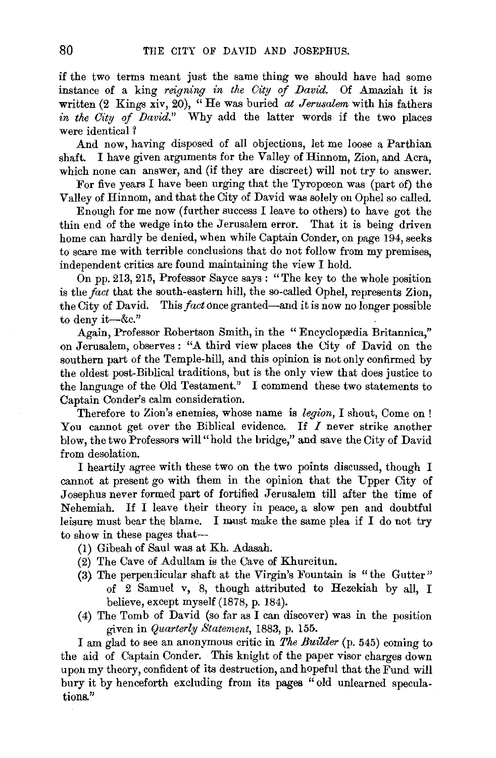if the two terms meant just the same thing we should have had some instance of a king *reigning in the City of David.* Of Amaziah it is written (2 Kings xiv, 20), "He was buried *at Jerusalem* with his fathers in the City of David." Why add the latter words if the two places were identical?

And now, having disposed of all objections, let me loose a Parthian shaft. I have given arguments for the Valley of Hinnom, Zion, and Acra, which none can answer, and (if they are discreet) will not try to answer.

For five years I have been urging that the Tyropœon was (part of) the Valley of Hinnom, and that the City of David was solely on Ophel so called.

Enough for me now (further success I leave to others) to have got the thin end of the wedge into the Jerusalem error. That it is being driven home can hardly be denied, when while Captain Conder, on page 194, seeks to scare me with terrible conclusions that do not follow from my premises, independent critics are found maintaining the view I hold.

On pp. 213, 215, Professor Sayee says: "The key to the whole position is the *fact* that the south-eastern hill, the so-called Ophel, represents Zion, the City of David. This  $fact$  once granted—and it is now no longer possible to deny it-&c."

Again, Professor Robertson Smith, in the "Encyclopædia Britannica," on Jerusalem, observes: "A third view places the City of David on the southern part of the Temple-hill, and this opinion is not only confirmed by the oldest post-Biblical traditions, but is the only view that does justice to the language of the Old Testament." I commend these two statements to Captain Conder's calm consideration.

Therefore to Zion's enemies, whose name is *legion,* I shout, Come on l You cannot get over the Biblical evidence. If  $I$  never strike another blow, the two Professors will" hold the bridge," and save the City of David from desolation.

I heartily agree with these two on the two points discussed, though I cannot at present go with them in the opinion that the Upper City of Josephus never formed part of fortified Jerusalem till after the time of Nehemiah. If I leave their theory in peace, a slow pen and doubtful leisure must bear the blame. I must make the same plea if I do not try to show in these pages that-

- (1) Gibeah of Saul was at Kh. Adasah.
- (2) The Cave of Adullam is the Cave of Khureitun.
- $(3)$  The perpendicular shaft at the Virgin's Fountain is "the Gutter" of 2 Samuel v, 8, though attributed to Hezekiah by all, I believe, except myself (1878, p. 184).
- (4) The Tomb of David (so far as I can discover) was in the position given in *Quarterly Statement,* 1883, p. 155.

I am glad to see an anonymous critic in *The Builder* (p. 545) coming to the aid of Captain Conder. This knight of the paper visor charges down upon my theory, confident of its destruction, and hopeful that the Fund will bury it by henceforth excluding from its pages "old unlearned speculations."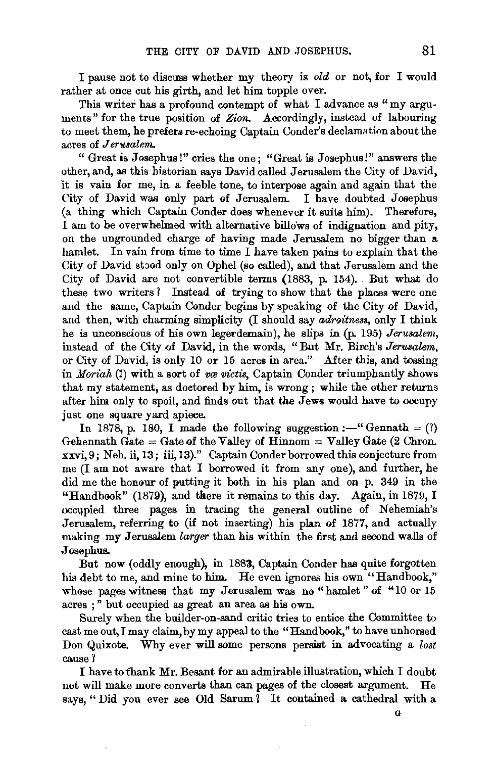I pause not to diacuss whether my theory is *old* or not, for I would rather at once cut his girth, and let him topple over.

This writer has a profound contempt of what I advance as "my arguments" for the true position of *Zion*. Accordingly, instead of labouring to meet them, he prefers re-echoing Captain Conder's declamation about the acres of *Jerusalem.* 

" Great is Josephus!" cries the one: "Great is Josephus!" answers the other, and, as this historian says David called Jerusalem the City of David, it is vain for me, in a feeble tone, to interpose again and again that the City of David was only part of Jerusalem. I have doubted Josephus (a thing which Captain Conder does whenever it suits him). Therefore, I am to be overwhelmed with alternative billows of indignation and pity, on the ungrounded charge of having made Jerusalem no bigger than a hamlet. In vain from time to time I have taken pains to explain that the City of David stood only on Ophel (so called), and that Jerusalem and the City of David are not convertible terms (1883, p. 154). But what do these two writers? Instead of trying to show that the places were one and the same, Captain Conder begins by speaking of the City of David, and then, with charming simplicity (I should say *adroitness*, only I think he is unconscious of his own legerdemain), he slips in (p. 195) *Jerusalem,*  instead of the City of David, in the words, "But Mr. Birch's *Jerusalem*, or City of David, is only 10 or 15 acres in area." After this, and tossing in *Moriah* (!) with a sort of *væ victis*, Captain Conder triumphantly shows that my statement, as doetored by him, is wrong ; while the other returns after him only to spoil, and finds out that the Jews would have to oocupy just one square yard apieee.

In 1878, p. 180, I made the following suggestion: $-$ " Gennath = (?) Gehennath Gate  $=$  Gate of the Valley of Hinnom  $=$  Valley Gate (2 Chron. xxvi, 9; Neh. ii, 13; iii, 13)." Captain Conder borrowed this conjecture from me (I am not aware that I borrowed it from any one), and further, he did me the honour of putting it both in his plan and on p. 349 in the "Handbook" (1879), and there it remains to this day. Again, in 1879, I occupied three pages in tracing the general outline of Nehemiah's Jerusalem, referring to (if not inserting) his plan of 1877, and actually making my Jerusalem *larger* than his within the first and seeond walls of Josephus.

But now (oddly enough), in 1883, Captain Conder has quite forgotten his debt to me, and mine to him. He even ignores his own "Handbook," whose pages witness that my Jerusalem was no "hamlet" of "10 or 15 acres ; " but occupied as great an area as his own.

Surely when the builder-on-sand critic tries to entice the Committee to cast me out, I may claim, by my appeal to the "Handbook," to have unhorsed Don Quixote. Why ever will some persons persist in advocating a *lost*  cause 1

I have totbank Mr. Besant for an admirable illustration, which I doubt not will make more converts than can pages of the closest argument. He says, "Did you ever see Old Sarum? It contained a cathedral with a